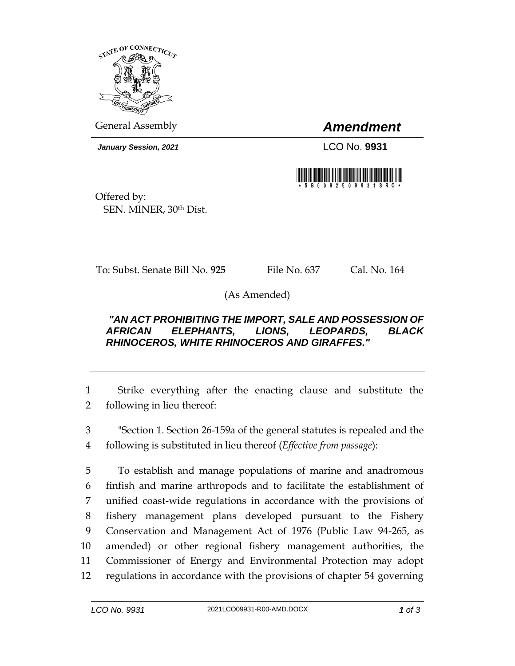

General Assembly *Amendment*

*January Session, 2021* LCO No. **9931**



Offered by: SEN. MINER, 30th Dist.

To: Subst. Senate Bill No. **925** File No. 637 Cal. No. 164

(As Amended)

## *"AN ACT PROHIBITING THE IMPORT, SALE AND POSSESSION OF AFRICAN ELEPHANTS, LIONS, LEOPARDS, BLACK RHINOCEROS, WHITE RHINOCEROS AND GIRAFFES."*

1 Strike everything after the enacting clause and substitute the 2 following in lieu thereof:

3 "Section 1. Section 26-159a of the general statutes is repealed and the 4 following is substituted in lieu thereof (*Effective from passage*):

 To establish and manage populations of marine and anadromous finfish and marine arthropods and to facilitate the establishment of unified coast-wide regulations in accordance with the provisions of fishery management plans developed pursuant to the Fishery Conservation and Management Act of 1976 (Public Law 94-265, as amended) or other regional fishery management authorities, the Commissioner of Energy and Environmental Protection may adopt regulations in accordance with the provisions of chapter 54 governing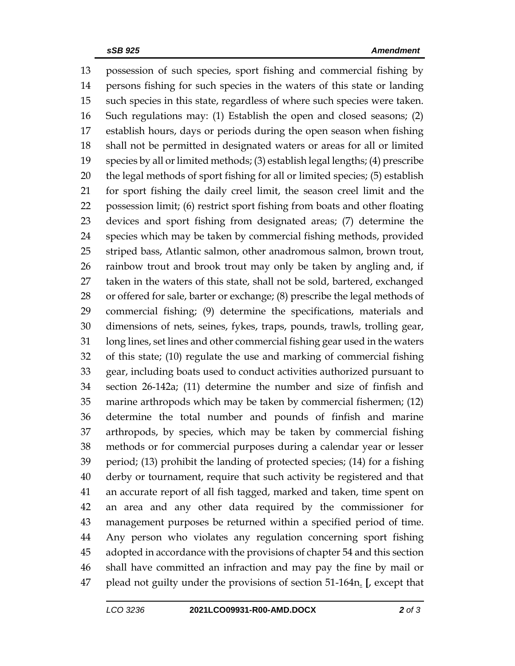possession of such species, sport fishing and commercial fishing by persons fishing for such species in the waters of this state or landing such species in this state, regardless of where such species were taken. Such regulations may: (1) Establish the open and closed seasons; (2) establish hours, days or periods during the open season when fishing shall not be permitted in designated waters or areas for all or limited species by all or limited methods; (3) establish legal lengths; (4) prescribe the legal methods of sport fishing for all or limited species; (5) establish for sport fishing the daily creel limit, the season creel limit and the possession limit; (6) restrict sport fishing from boats and other floating devices and sport fishing from designated areas; (7) determine the species which may be taken by commercial fishing methods, provided striped bass, Atlantic salmon, other anadromous salmon, brown trout, rainbow trout and brook trout may only be taken by angling and, if taken in the waters of this state, shall not be sold, bartered, exchanged or offered for sale, barter or exchange; (8) prescribe the legal methods of commercial fishing; (9) determine the specifications, materials and dimensions of nets, seines, fykes, traps, pounds, trawls, trolling gear, long lines, set lines and other commercial fishing gear used in the waters of this state; (10) regulate the use and marking of commercial fishing gear, including boats used to conduct activities authorized pursuant to section 26-142a; (11) determine the number and size of finfish and marine arthropods which may be taken by commercial fishermen; (12) determine the total number and pounds of finfish and marine arthropods, by species, which may be taken by commercial fishing methods or for commercial purposes during a calendar year or lesser period; (13) prohibit the landing of protected species; (14) for a fishing derby or tournament, require that such activity be registered and that an accurate report of all fish tagged, marked and taken, time spent on an area and any other data required by the commissioner for management purposes be returned within a specified period of time. Any person who violates any regulation concerning sport fishing adopted in accordance with the provisions of chapter 54 and this section shall have committed an infraction and may pay the fine by mail or plead not guilty under the provisions of section 51-164n. **[**, except that